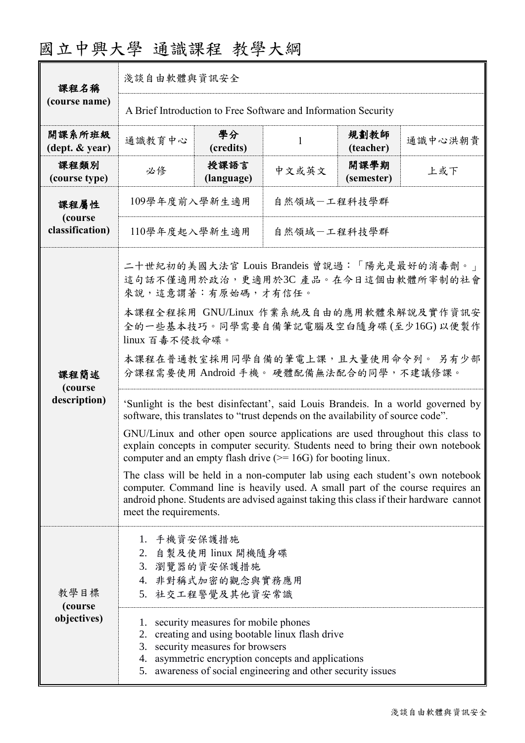| 國立中興大學 通識課程 教學大綱 |  |  |
|------------------|--|--|
|------------------|--|--|

| 課程名稱                                       | 淺談自由軟體與資訊安全                                                                                                                                                                                                                                                                          |                                                                |              |                    |         |  |
|--------------------------------------------|--------------------------------------------------------------------------------------------------------------------------------------------------------------------------------------------------------------------------------------------------------------------------------------|----------------------------------------------------------------|--------------|--------------------|---------|--|
| (course name)                              |                                                                                                                                                                                                                                                                                      | A Brief Introduction to Free Software and Information Security |              |                    |         |  |
| 開課系所班級<br>$(\text{dept.} \& \text{ year})$ | 通識教育中心                                                                                                                                                                                                                                                                               | 學分<br>(credits)                                                | $\mathbf{1}$ | 規劃教師<br>(teacher)  | 通識中心洪朝貴 |  |
| 課程類別<br>(course type)                      | 必修                                                                                                                                                                                                                                                                                   | 授課語言<br>(language)                                             | 中文或英文        | 開課學期<br>(semester) | 上或下     |  |
| 課程屬性<br>(course<br>classification)         | 109學年度前入學新生適用<br>自然領域一工程科技學群                                                                                                                                                                                                                                                         |                                                                |              |                    |         |  |
|                                            | 110學年度起入學新生適用                                                                                                                                                                                                                                                                        |                                                                | 自然領域一工程科技學群  |                    |         |  |
|                                            | 二十世紀初的美國大法官 Louis Brandeis 曾說過:「陽光是最好的消毒劑。」<br>這句話不僅適用於政治,更適用於3C產品。在今日這個由軟體所宰制的社會<br>來說,這意謂著:有原始碼,才有信任。                                                                                                                                                                              |                                                                |              |                    |         |  |
| 課程簡述<br>(course<br>description)            | 本課程全程採用 GNU/Linux 作業系統及自由的應用軟體來解說及實作資訊安<br>全的一些基本技巧。同學需要自備筆記電腦及空白隨身碟(至少16G)以便製作<br>linux 百毒不侵救命碟。                                                                                                                                                                                    |                                                                |              |                    |         |  |
|                                            | 本課程在普通教室採用同學自備的筆電上課,且大量使用命令列。 另有少部<br>分課程需要使用 Android 手機。 硬體配備無法配合的同學,不建議修課。                                                                                                                                                                                                         |                                                                |              |                    |         |  |
|                                            | 'Sunlight is the best disinfectant', said Louis Brandeis. In a world governed by<br>software, this translates to "trust depends on the availability of source code".                                                                                                                 |                                                                |              |                    |         |  |
|                                            | GNU/Linux and other open source applications are used throughout this class to<br>explain concepts in computer security. Students need to bring their own notebook<br>computer and an empty flash drive $(>= 16G)$ for booting linux.                                                |                                                                |              |                    |         |  |
|                                            | The class will be held in a non-computer lab using each student's own notebook<br>computer. Command line is heavily used. A small part of the course requires an<br>android phone. Students are advised against taking this class if their hardware cannot<br>meet the requirements. |                                                                |              |                    |         |  |
|                                            | 1. 手機資安保護措施<br>2. 自製及使用 linux 開機隨身碟                                                                                                                                                                                                                                                  |                                                                |              |                    |         |  |
| 教學目標<br>(course)<br>objectives)            | 3. 瀏覽器的資安保護措施<br>4. 非對稱式加密的觀念與實務應用<br>5. 社交工程警覺及其他資安常識                                                                                                                                                                                                                               |                                                                |              |                    |         |  |
|                                            | 1. security measures for mobile phones<br>2. creating and using bootable linux flash drive<br>3. security measures for browsers<br>4. asymmetric encryption concepts and applications<br>5. awareness of social engineering and other security issues                                |                                                                |              |                    |         |  |
|                                            |                                                                                                                                                                                                                                                                                      |                                                                |              |                    |         |  |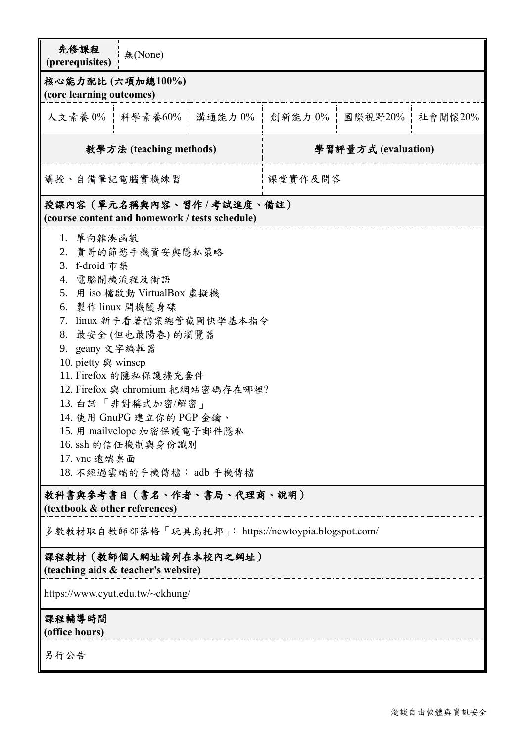| 先修課程<br>(prerequisites)                                                                                                                                                                                                                                                                                                                                                                                                                                                                          | 無(None)                                      |                           |                     |         |         |  |
|--------------------------------------------------------------------------------------------------------------------------------------------------------------------------------------------------------------------------------------------------------------------------------------------------------------------------------------------------------------------------------------------------------------------------------------------------------------------------------------------------|----------------------------------------------|---------------------------|---------------------|---------|---------|--|
|                                                                                                                                                                                                                                                                                                                                                                                                                                                                                                  | 核心能力配比(六項加總100%)<br>(core learning outcomes) |                           |                     |         |         |  |
| 人文素養 0%                                                                                                                                                                                                                                                                                                                                                                                                                                                                                          | 科學素養60%                                      | 溝通能力 0%                   | 創新能力 0%             | 國際視野20% | 社會關懷20% |  |
|                                                                                                                                                                                                                                                                                                                                                                                                                                                                                                  | 教學方法 (teaching methods)                      |                           | 學習評量方式 (evaluation) |         |         |  |
| 講授、自備筆記電腦實機練習                                                                                                                                                                                                                                                                                                                                                                                                                                                                                    |                                              | 课堂實作及問答                   |                     |         |         |  |
|                                                                                                                                                                                                                                                                                                                                                                                                                                                                                                  |                                              | 授課內容(單元名稱與內容、習作/考試進度、備註)  |                     |         |         |  |
| (course content and homework / tests schedule)<br>1. 單向雜湊函數<br>2. 貴哥的節慾手機資安與隱私策略<br>3. f-droid 市集<br>4. 電腦開機流程及術語<br>用 iso 檔啟動 VirtualBox 虛擬機<br>5 <sub>1</sub><br>6. 製作 linux 開機隨身碟<br>7. linux 新手看著檔案總管截圖快學基本指令<br>8. 最安全(但也最陽春)的瀏覽器<br>9. geany 文字編輯器<br>10. pietty 與 winscp<br>11. Firefox 的隱私保護擴充套件<br>12. Firefox 與 chromium 把網站密碼存在哪裡?<br>13. 白話「非對稱式加密/解密」<br>14. 使用 GnuPG 建立你的 PGP 金鑰、<br>15. 用 mailvelope 加密保護電子郵件隱私<br>16. ssh 的信任機制與身份識別<br>17. vnc 遠端桌面<br>18. 不經過雲端的手機傳檔: adb 手機傳檔 |                                              |                           |                     |         |         |  |
| (textbook & other references)                                                                                                                                                                                                                                                                                                                                                                                                                                                                    |                                              | 教科書與參考書目(書名、作者、書局、代理商、說明) |                     |         |         |  |
| 多數教材取自教師部落格「玩具鳥托邦」: https://newtoypia.blogspot.com/                                                                                                                                                                                                                                                                                                                                                                                                                                              |                                              |                           |                     |         |         |  |
| 課程教材(教師個人網址請列在本校內之網址)<br>(teaching aids & teacher's website)                                                                                                                                                                                                                                                                                                                                                                                                                                     |                                              |                           |                     |         |         |  |
| https://www.cyut.edu.tw/~ckhung/                                                                                                                                                                                                                                                                                                                                                                                                                                                                 |                                              |                           |                     |         |         |  |
| 課程輔導時間<br>(office hours)                                                                                                                                                                                                                                                                                                                                                                                                                                                                         |                                              |                           |                     |         |         |  |
| 另行公告                                                                                                                                                                                                                                                                                                                                                                                                                                                                                             |                                              |                           |                     |         |         |  |